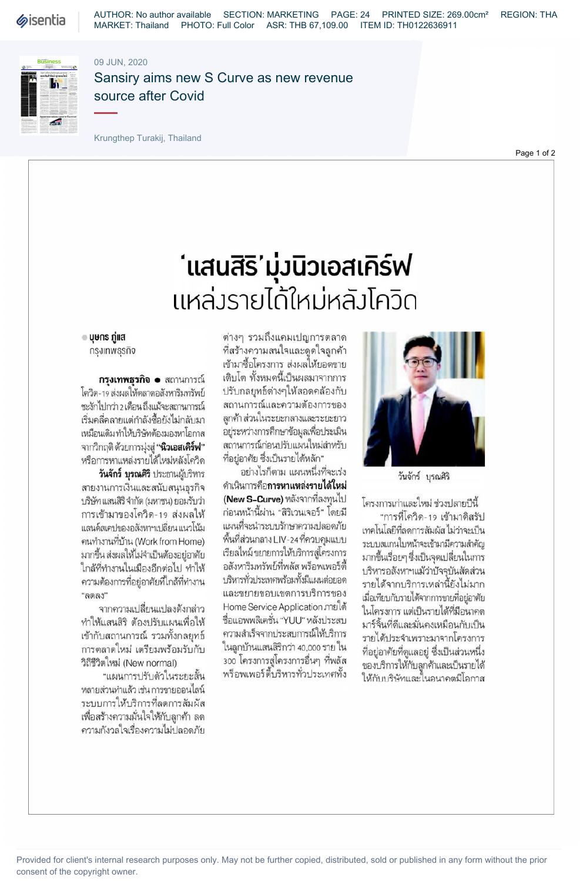

AUTHOR: No author available SECTION: MARKETING PAGE: 24 PRINTED SIZE: 269.00cm² REGION: THA MARKET: Thailand PHOTO: Full Color ASR: THB 67,109.00 ITEM ID: TH0122636911

## 09 JUN, 2020



Sansiry aims new S Curve as new revenue source after Covid

Krungthep Turakij, Thailand

Page 1 of 2

## ้ แสนสิริ'มุ่งนิวเอสเคิร์ฟ แหล่งรายได้ใหม่หลังโควิด

⊕ บุษกร กู่แส กรุงเทพธุรกิจ

กรุงเทพธุรกิจ • สถานการณ์ โควิด-19 ส่งผลให้ตลาดอสังหาริมทรัพย์ ชะงักไปกว่า 2 เดือน ถึงแม้จะสถานการณ์ เริ่มคลี่คลายแต่กำลังซื้อยังไม่กลับมา เหมือนเดิม ทำให้บริษัทต้องมองหาโอกาส จากวิกฤติ ด้วยการมุ่งสู่ **"นิวเอสเคิร์ฟ"** หรือการหาแหล่งรายได้ใหม่หลังโควิด

วันจักร์ บุรณศิริ ประธานผู้บริหาร สายงานการเงินและสนับสนุนธุรกิจ บริษัท แสนสิริ จำกัด (มหาชน) ยอมรับว่า การเข้ามาของโควิด-19 ส่งผลให้ แลนด์สเคปของอสังหาฯเปลี่ยน แนวโน้ม (Work from Home) มากขึ้น ส่งผลให้ไม่จำเป็นต้องอย่อาศัย ใกล้ที่ทำงานในเมืองอีกต่อไป ทำให้ ความต้องการที่อยู่อาศัยที่ใกล้ที่ทำงาน  $"$ ลดลง"

จากความเปลี่ยนแปลงดังกล่าว ทำให้แสนสิริ ต้องปรับแผนเพื่อให้ เข้ากับสถานการณ์ รวมทั้งกลยุทธ์ การตลาดใหม่ เตรียมพร้อมรับกับ วิถีชีวิตใหม่ (New normal)

"แผนการปรับตัวในระยะสั้น หลายส่วนทำแล้ว เช่น การขายออนไลน์ ระบบการให้บริการที่ลดการสัมผัส เพื่อสร้างความมั่นใจให้กับลูกค้า ลด ความกังวลใจเรื่องความไม่ปลอดภัย

ต่างๆ รวมถึงแคมเปญการตลาด ที่สร้างความสนใจและดูดใจลูกค้า เข้ามาซื้อโครงการ ส่งผลให้ยอดขาย เติบโต ทั้งหมดนี้เป็นผลมาจากการ ปรับกลยทธ์ต่างๆให้สอดคล้องกับ สถานการณ์และความต้องการของ ลูกค้า ส่วนในระยะกลางและระยะยาว อยู่ระหว่างการศึกษาข้อมูลเพื่อประเมิน สถานการณ์ก่อนปรับแผนใหม่สำหรับ ที่อย่อาศัย ซึ่งเป็นรายได้หลัก"

อย่างไรก็ตาม แผนหนึ่งที่จะเร่ง ดำเนินการคือ**การหาแหล่งรายได้ใหม่** (New S-Curve) หลังจากที่ลงทุนไป ก่อนหน้านี้ผ่าน "สิริเวนเจอร์" โดยมี แผนที่จะนำระบบรักษาความปลอดภัย พื้นที่ส่วนกลาง LIV-24 ที่ควบคุมแบบ เรียลไทม์ ขยายการให้บริการสู่โครงการ อสังหาริมทรัพย์ที่พลัส พร็อพเพอร์ตี้ บริหารทั่วประเทศพร้อมทั้งมีแผนต่อยอด และขยายขอบเขตการบริการของ Home Service Application ภายใต้ ชื่อแอพพลิเคชั่น "YUU" หลังประสบ ความสำเร็จจากประสบการณ์ให้บริการ ในลูกบ้านแสนสิริกว่า 40,000 ราย ใน 300 โครงการสู่โครงการอื่นๆ ที่พลัส พร็อพเพอร์ตื้บริหารทั่วประเทศทั้ง



วันจักร์ บุรณศิริ

โครงการเก่าและใหม่ ช่วงปลายปีนี้

"การที่โควิด-19 เข้ามาดิสรัป เทคโนโลยีที่ลดการสัมผัส ไม่ว่าจะเป็น ระบบสแกนใบหน้าจะเข้ามามีความสำคัญ มากขึ้นเรื่อยๆ ซึ่งเป็นจุดเปลี่ยนในการ บริหารอสังหาฯแม้ว่าปัจจุบันสัดส่วน รายได้จากบริการเหล่านี้ยังไม่มาก เมื่อเทียบกับรายได้จากการขายที่อยู่อาศัย ในโครงการ แต่เป็นรายได้ที่มีอนาคต มาร์จิ้นที่ดีและมั่นคงเหมือนกับเป็น รายได้ประจำเพราะมาจากโครงการ ที่อยู่อาศัยที่ดูแลอยู่ ซึ่งเป็นส่วนหนึ่ง ของบริการให้กับลูกค้าและเป็นรายได้ ให้กับบริษัทและในอนาคตมีโอกาส

Provided for client's internal research purposes only. May not be further copied, distributed, sold or published in any form without the prior consent of the copyright owner.